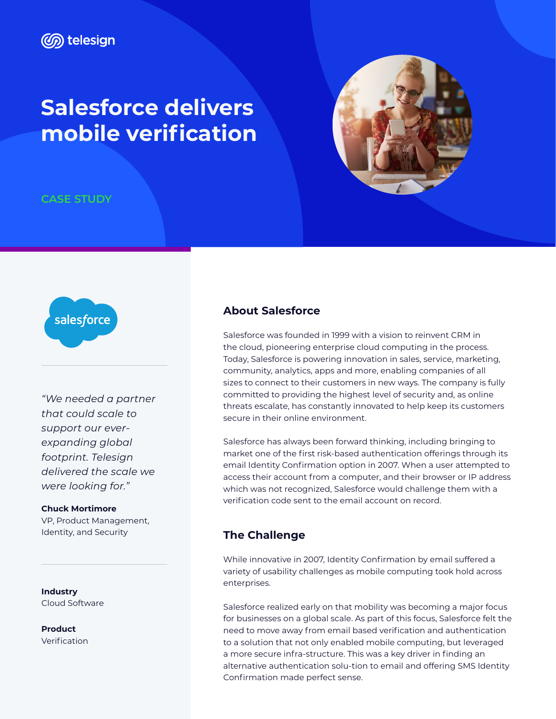## **Salesforce delivers mobile verification**



**CASE STUDY**



*"We needed a partner that could scale to support our everexpanding global footprint. Telesign delivered the scale we were looking for."*

**Chuck Mortimore** VP, Product Management, Identity, and Security

**Industry** Cloud Software

**Product** Verification

## **About Salesforce**

Salesforce was founded in 1999 with a vision to reinvent CRM in the cloud, pioneering enterprise cloud computing in the process. Today, Salesforce is powering innovation in sales, service, marketing, community, analytics, apps and more, enabling companies of all sizes to connect to their customers in new ways. The company is fully committed to providing the highest level of security and, as online threats escalate, has constantly innovated to help keep its customers secure in their online environment.

Salesforce has always been forward thinking, including bringing to market one of the first risk-based authentication offerings through its email Identity Confirmation option in 2007. When a user attempted to access their account from a computer, and their browser or IP address which was not recognized, Salesforce would challenge them with a verification code sent to the email account on record.

## **The Challenge**

While innovative in 2007, Identity Confirmation by email suffered a variety of usability challenges as mobile computing took hold across enterprises.

Salesforce realized early on that mobility was becoming a major focus for businesses on a global scale. As part of this focus, Salesforce felt the need to move away from email based verification and authentication to a solution that not only enabled mobile computing, but leveraged a more secure infra-structure. This was a key driver in finding an alternative authentication solu-tion to email and offering SMS Identity Confirmation made perfect sense.